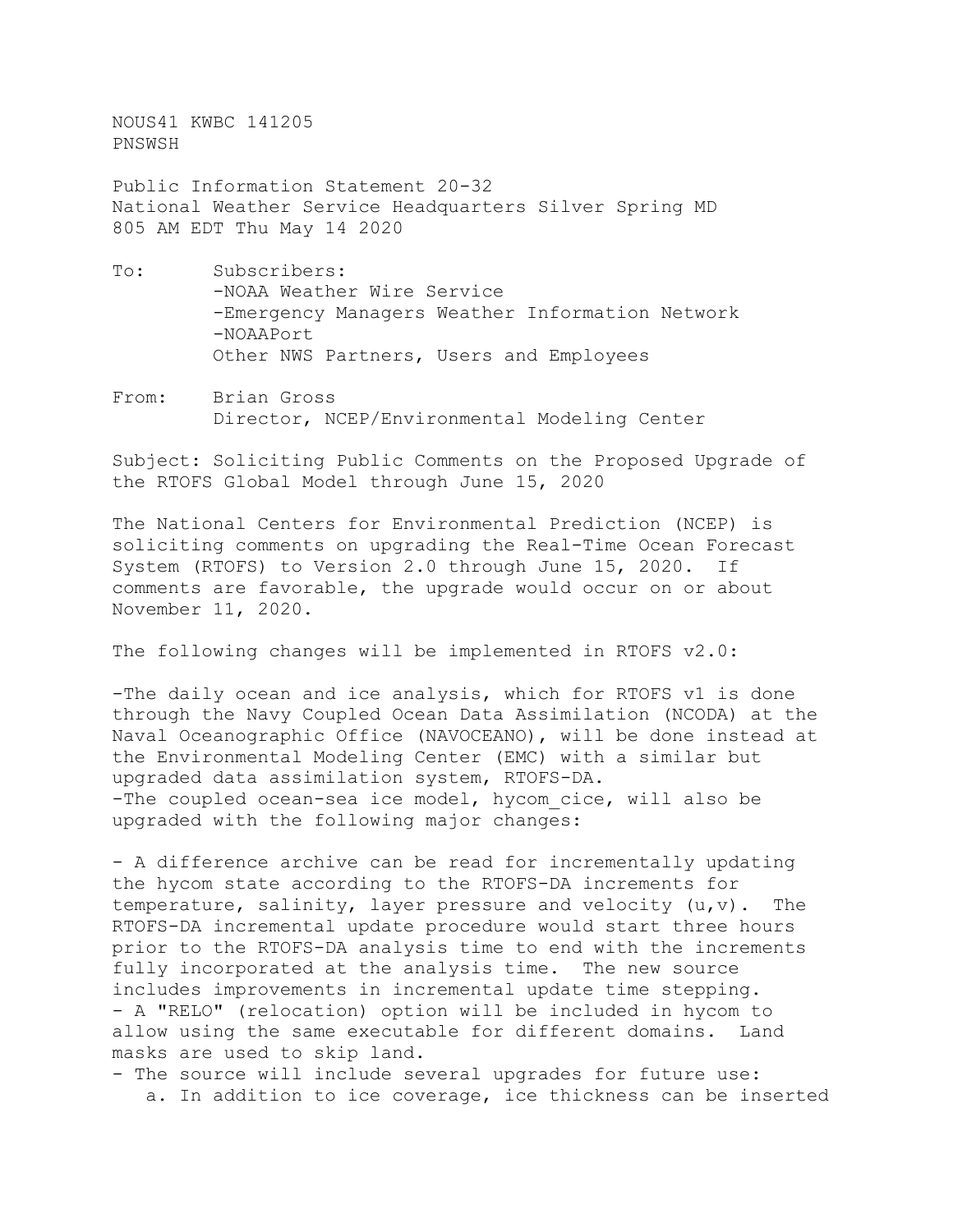NOUS41 KWBC 141205 PNSWSH

Public Information Statement 20-32 National Weather Service Headquarters Silver Spring MD 805 AM EDT Thu May 14 2020

- To: Subscribers: -NOAA Weather Wire Service -Emergency Managers Weather Information Network -NOAAPort Other NWS Partners, Users and Employees
- From: Brian Gross Director, NCEP/Environmental Modeling Center

Subject: Soliciting Public Comments on the Proposed Upgrade of the RTOFS Global Model through June 15, 2020

The National Centers for Environmental Prediction (NCEP) is soliciting comments on upgrading the Real-Time Ocean Forecast System (RTOFS) to Version 2.0 through June 15, 2020. If comments are favorable, the upgrade would occur on or about November 11, 2020.

The following changes will be implemented in RTOFS v2.0:

-The daily ocean and ice analysis, which for RTOFS v1 is done through the Navy Coupled Ocean Data Assimilation (NCODA) at the Naval Oceanographic Office (NAVOCEANO), will be done instead at the Environmental Modeling Center (EMC) with a similar but upgraded data assimilation system, RTOFS-DA. -The coupled ocean-sea ice model, hycom cice, will also be upgraded with the following major changes:

- A difference archive can be read for incrementally updating the hycom state according to the RTOFS-DA increments for temperature, salinity, layer pressure and velocity  $(u,v)$ . The RTOFS-DA incremental update procedure would start three hours prior to the RTOFS-DA analysis time to end with the increments fully incorporated at the analysis time. The new source includes improvements in incremental update time stepping. - A "RELO" (relocation) option will be included in hycom to allow using the same executable for different domains. Land masks are used to skip land.

- The source will include several upgrades for future use: a. In addition to ice coverage, ice thickness can be inserted